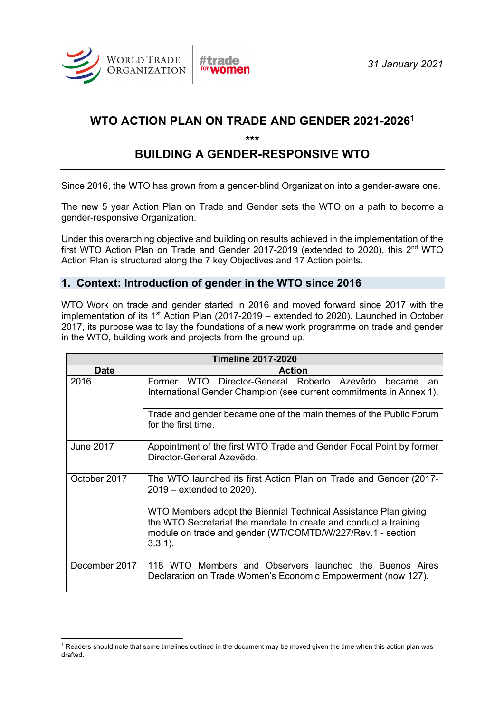

# **WTO ACTION PLAN ON TRADE AND GENDER 2021-20261**

**\*\*\***

# **BUILDING A GENDER-RESPONSIVE WTO**

Since 2016, the WTO has grown from a gender-blind Organization into a gender-aware one.

The new 5 year Action Plan on Trade and Gender sets the WTO on a path to become a gender-responsive Organization.

Under this overarching objective and building on results achieved in the implementation of the first WTO Action Plan on Trade and Gender 2017-2019 (extended to 2020), this 2<sup>nd</sup> WTO Action Plan is structured along the 7 key Objectives and 17 Action points.

# **1. Context: Introduction of gender in the WTO since 2016**

WTO Work on trade and gender started in 2016 and moved forward since 2017 with the implementation of its  $1<sup>st</sup>$  Action Plan (2017-2019 – extended to 2020). Launched in October 2017, its purpose was to lay the foundations of a new work programme on trade and gender in the WTO, building work and projects from the ground up.

| <b>Timeline 2017-2020</b> |                                                                                                                                                                                                                 |
|---------------------------|-----------------------------------------------------------------------------------------------------------------------------------------------------------------------------------------------------------------|
| <b>Date</b>               | <b>Action</b>                                                                                                                                                                                                   |
| 2016                      | WTO Director-General Roberto Azevêdo became<br>Former<br>an<br>International Gender Champion (see current commitments in Annex 1).                                                                              |
|                           | Trade and gender became one of the main themes of the Public Forum<br>for the first time.                                                                                                                       |
| June 2017                 | Appointment of the first WTO Trade and Gender Focal Point by former<br>Director-General Azevêdo.                                                                                                                |
| October 2017              | The WTO launched its first Action Plan on Trade and Gender (2017-<br>$2019$ – extended to 2020).                                                                                                                |
|                           | WTO Members adopt the Biennial Technical Assistance Plan giving<br>the WTO Secretariat the mandate to create and conduct a training<br>module on trade and gender (WT/COMTD/W/227/Rev.1 - section<br>$3.3.1$ ). |
| December 2017             | 118 WTO Members and Observers launched the Buenos Aires<br>Declaration on Trade Women's Economic Empowerment (now 127).                                                                                         |

 $1$  Readers should note that some timelines outlined in the document may be moved given the time when this action plan was drafted.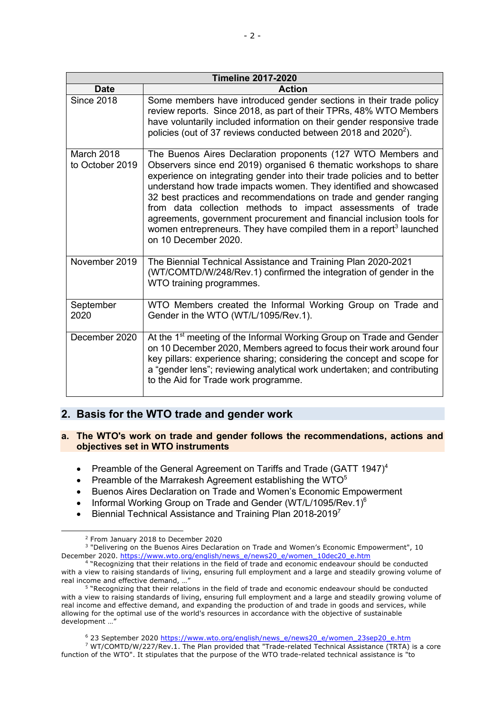| <b>Timeline 2017-2020</b>     |                                                                                                                                                                                                                                                                                                                                                                                                                                                                                                                                                                                                          |
|-------------------------------|----------------------------------------------------------------------------------------------------------------------------------------------------------------------------------------------------------------------------------------------------------------------------------------------------------------------------------------------------------------------------------------------------------------------------------------------------------------------------------------------------------------------------------------------------------------------------------------------------------|
| <b>Date</b>                   | <b>Action</b>                                                                                                                                                                                                                                                                                                                                                                                                                                                                                                                                                                                            |
| <b>Since 2018</b>             | Some members have introduced gender sections in their trade policy<br>review reports. Since 2018, as part of their TPRs, 48% WTO Members<br>have voluntarily included information on their gender responsive trade<br>policies (out of 37 reviews conducted between 2018 and 2020 <sup>2</sup> ).                                                                                                                                                                                                                                                                                                        |
| March 2018<br>to October 2019 | The Buenos Aires Declaration proponents (127 WTO Members and<br>Observers since end 2019) organised 6 thematic workshops to share<br>experience on integrating gender into their trade policies and to better<br>understand how trade impacts women. They identified and showcased<br>32 best practices and recommendations on trade and gender ranging<br>from data collection methods to impact assessments of trade<br>agreements, government procurement and financial inclusion tools for<br>women entrepreneurs. They have compiled them in a report <sup>3</sup> launched<br>on 10 December 2020. |
| November 2019                 | The Biennial Technical Assistance and Training Plan 2020-2021<br>(WT/COMTD/W/248/Rev.1) confirmed the integration of gender in the<br>WTO training programmes.                                                                                                                                                                                                                                                                                                                                                                                                                                           |
| September<br>2020             | WTO Members created the Informal Working Group on Trade and<br>Gender in the WTO (WT/L/1095/Rev.1).                                                                                                                                                                                                                                                                                                                                                                                                                                                                                                      |
| December 2020                 | At the 1 <sup>st</sup> meeting of the Informal Working Group on Trade and Gender<br>on 10 December 2020, Members agreed to focus their work around four<br>key pillars: experience sharing; considering the concept and scope for<br>a "gender lens"; reviewing analytical work undertaken; and contributing<br>to the Aid for Trade work programme.                                                                                                                                                                                                                                                     |

# **2. Basis for the WTO trade and gender work**

# **a. The WTO's work on trade and gender follows the recommendations, actions and objectives set in WTO instruments**

- Preamble of the General Agreement on Tariffs and Trade (GATT 1947)<sup>4</sup>
- Preamble of the Marrakesh Agreement establishing the WTO $5$
- Buenos Aires Declaration on Trade and Women's Economic Empowerment
- Informal Working Group on Trade and Gender (WT/L/1095/Rev.1)<sup>6</sup>
- Biennial Technical Assistance and Training Plan 2018-2019<sup>7</sup>

<sup>7</sup> WT/COMTD/W/227/Rev.1. The Plan provided that "Trade-related Technical Assistance (TRTA) is a core function of the WTO". It stipulates that the purpose of the WTO trade-related technical assistance is "to

<sup>2</sup> From January 2018 to December 2020

<sup>&</sup>lt;sup>3</sup> "Delivering on the Buenos Aires Declaration on Trade and Women's Economic Empowerment", 10 December 2020. https://www.wto.org/english/news\_e/news20\_e/women\_10dec20\_e.htm

<sup>4</sup> "Recognizing that their relations in the field of trade and economic endeavour should be conducted with a view to raising standards of living, ensuring full employment and a large and steadily growing volume of real income and effective demand, …"

<sup>5</sup> "Recognizing that their relations in the field of trade and economic endeavour should be conducted with a view to raising standards of living, ensuring full employment and a large and steadily growing volume of real income and effective demand, and expanding the production of and trade in goods and services, while allowing for the optimal use of the world's resources in accordance with the objective of sustainable development …"

<sup>6</sup> 23 September 2020 https://www.wto.org/english/news\_e/news20\_e/women\_23sep20\_e.htm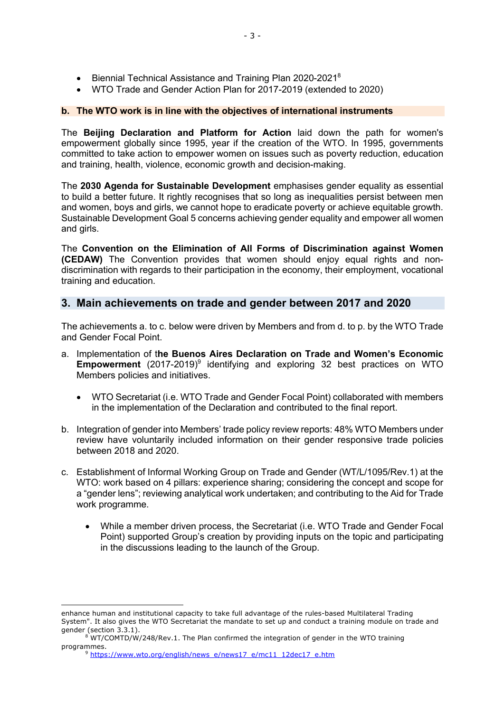- Biennial Technical Assistance and Training Plan 2020-2021<sup>8</sup>
- WTO Trade and Gender Action Plan for 2017-2019 (extended to 2020)

### **b. The WTO work is in line with the objectives of international instruments**

The **Beijing Declaration and Platform for Action** laid down the path for women's empowerment globally since 1995, year if the creation of the WTO. In 1995, governments committed to take action to empower women on issues such as poverty reduction, education and training, health, violence, economic growth and decision-making.

The **2030 Agenda for Sustainable Development** emphasises gender equality as essential to build a better future. It rightly recognises that so long as inequalities persist between men and women, boys and girls, we cannot hope to eradicate poverty or achieve equitable growth. Sustainable Development Goal 5 concerns achieving gender equality and empower all women and girls.

The **Convention on the Elimination of All Forms of Discrimination against Women (CEDAW)** The Convention provides that women should enjoy equal rights and nondiscrimination with regards to their participation in the economy, their employment, vocational training and education.

# **3. Main achievements on trade and gender between 2017 and 2020**

The achievements a. to c. below were driven by Members and from d. to p. by the WTO Trade and Gender Focal Point.

- a. Implementation of t**he Buenos Aires Declaration on Trade and Women's Economic Empowerment** (2017-2019)<sup>9</sup> identifying and exploring 32 best practices on WTO Members policies and initiatives.
	- WTO Secretariat (i.e. WTO Trade and Gender Focal Point) collaborated with members in the implementation of the Declaration and contributed to the final report.
- b. Integration of gender into Members' trade policy review reports: 48% WTO Members under review have voluntarily included information on their gender responsive trade policies between 2018 and 2020.
- c. Establishment of Informal Working Group on Trade and Gender (WT/L/1095/Rev.1) at the WTO: work based on 4 pillars: experience sharing; considering the concept and scope for a "gender lens"; reviewing analytical work undertaken; and contributing to the Aid for Trade work programme.
	- While a member driven process, the Secretariat (i.e. WTO Trade and Gender Focal Point) supported Group's creation by providing inputs on the topic and participating in the discussions leading to the launch of the Group.

enhance human and institutional capacity to take full advantage of the rules-based Multilateral Trading System". It also gives the WTO Secretariat the mandate to set up and conduct a training module on trade and gender (section 3.3.1).

 $8$  WT/COMTD/W/248/Rev.1. The Plan confirmed the integration of gender in the WTO training programmes.

<sup>&</sup>lt;sup>9</sup> https://www.wto.org/english/news\_e/news17\_e/mc11\_12dec17\_e.htm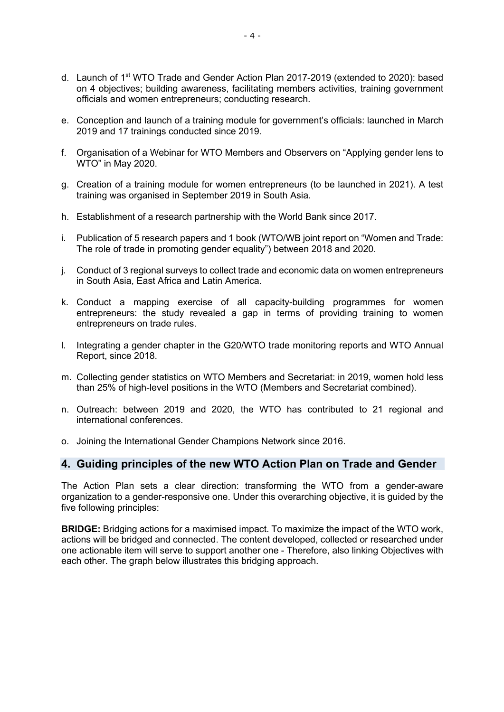- d. Launch of 1st WTO Trade and Gender Action Plan 2017-2019 (extended to 2020): based on 4 objectives; building awareness, facilitating members activities, training government officials and women entrepreneurs; conducting research.
- e. Conception and launch of a training module for government's officials: launched in March 2019 and 17 trainings conducted since 2019.
- f. Organisation of a Webinar for WTO Members and Observers on "Applying gender lens to WTO" in May 2020.
- g. Creation of a training module for women entrepreneurs (to be launched in 2021). A test training was organised in September 2019 in South Asia.
- h. Establishment of a research partnership with the World Bank since 2017.
- i. Publication of 5 research papers and 1 book (WTO/WB joint report on "Women and Trade: The role of trade in promoting gender equality") between 2018 and 2020.
- j. Conduct of 3 regional surveys to collect trade and economic data on women entrepreneurs in South Asia, East Africa and Latin America.
- k. Conduct a mapping exercise of all capacity-building programmes for women entrepreneurs: the study revealed a gap in terms of providing training to women entrepreneurs on trade rules.
- l. Integrating a gender chapter in the G20/WTO trade monitoring reports and WTO Annual Report, since 2018.
- m. Collecting gender statistics on WTO Members and Secretariat: in 2019, women hold less than 25% of high-level positions in the WTO (Members and Secretariat combined).
- n. Outreach: between 2019 and 2020, the WTO has contributed to 21 regional and international conferences.
- o. Joining the International Gender Champions Network since 2016.

# **4. Guiding principles of the new WTO Action Plan on Trade and Gender**

The Action Plan sets a clear direction: transforming the WTO from a gender-aware organization to a gender-responsive one. Under this overarching objective, it is guided by the five following principles:

**BRIDGE:** Bridging actions for a maximised impact. To maximize the impact of the WTO work, actions will be bridged and connected. The content developed, collected or researched under one actionable item will serve to support another one - Therefore, also linking Objectives with each other. The graph below illustrates this bridging approach.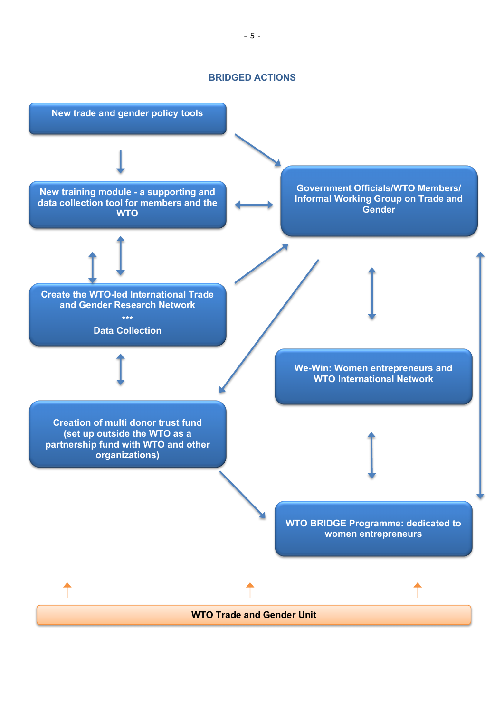### **BRIDGED ACTIONS**

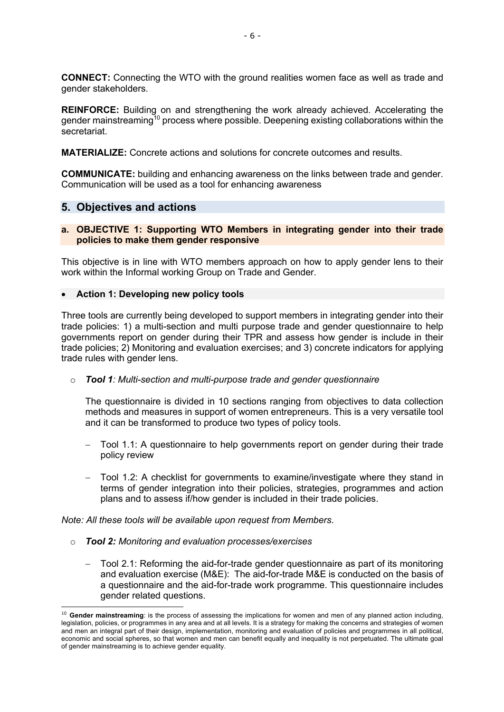**CONNECT:** Connecting the WTO with the ground realities women face as well as trade and gender stakeholders.

**REINFORCE:** Building on and strengthening the work already achieved. Accelerating the gender mainstreaming<sup>10</sup> process where possible. Deepening existing collaborations within the secretariat.

**MATERIALIZE:** Concrete actions and solutions for concrete outcomes and results.

**COMMUNICATE:** building and enhancing awareness on the links between trade and gender. Communication will be used as a tool for enhancing awareness

# **5. Objectives and actions**

# **a. OBJECTIVE 1: Supporting WTO Members in integrating gender into their trade policies to make them gender responsive**

This objective is in line with WTO members approach on how to apply gender lens to their work within the Informal working Group on Trade and Gender.

### • **Action 1: Developing new policy tools**

Three tools are currently being developed to support members in integrating gender into their trade policies: 1) a multi-section and multi purpose trade and gender questionnaire to help governments report on gender during their TPR and assess how gender is include in their trade policies; 2) Monitoring and evaluation exercises; and 3) concrete indicators for applying trade rules with gender lens.

### o *Tool 1: Multi-section and multi-purpose trade and gender questionnaire*

The questionnaire is divided in 10 sections ranging from objectives to data collection methods and measures in support of women entrepreneurs. This is a very versatile tool and it can be transformed to produce two types of policy tools.

- Tool 1.1: A questionnaire to help governments report on gender during their trade policy review
- Tool 1.2: A checklist for governments to examine/investigate where they stand in terms of gender integration into their policies, strategies, programmes and action plans and to assess if/how gender is included in their trade policies.

*Note: All these tools will be available upon request from Members.* 

- o *Tool 2: Monitoring and evaluation processes/exercises*
	- Tool 2.1: Reforming the aid-for-trade gender questionnaire as part of its monitoring and evaluation exercise (M&E): The aid-for-trade M&E is conducted on the basis of a questionnaire and the aid-for-trade work programme. This questionnaire includes gender related questions.

<sup>&</sup>lt;sup>10</sup> Gender mainstreaming: is the process of assessing the implications for women and men of any planned action including, legislation, policies, or programmes in any area and at all levels. It is a strategy for making the concerns and strategies of women and men an integral part of their design, implementation, monitoring and evaluation of policies and programmes in all political, economic and social spheres, so that women and men can benefit equally and inequality is not perpetuated. The ultimate goal of gender mainstreaming is to achieve gender equality.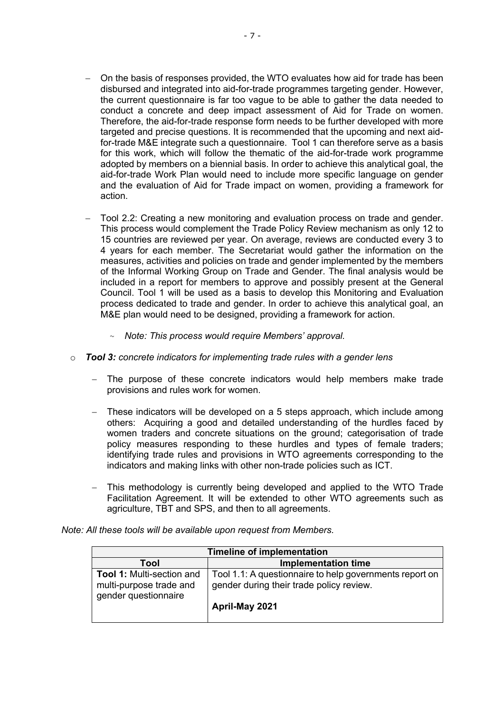- On the basis of responses provided, the WTO evaluates how aid for trade has been disbursed and integrated into aid-for-trade programmes targeting gender. However, the current questionnaire is far too vague to be able to gather the data needed to conduct a concrete and deep impact assessment of Aid for Trade on women. Therefore, the aid-for-trade response form needs to be further developed with more targeted and precise questions. It is recommended that the upcoming and next aidfor-trade M&E integrate such a questionnaire. Tool 1 can therefore serve as a basis for this work, which will follow the thematic of the aid-for-trade work programme adopted by members on a biennial basis. In order to achieve this analytical goal, the aid-for-trade Work Plan would need to include more specific language on gender and the evaluation of Aid for Trade impact on women, providing a framework for action.
- Tool 2.2: Creating a new monitoring and evaluation process on trade and gender. This process would complement the Trade Policy Review mechanism as only 12 to 15 countries are reviewed per year. On average, reviews are conducted every 3 to 4 years for each member. The Secretariat would gather the information on the measures, activities and policies on trade and gender implemented by the members of the Informal Working Group on Trade and Gender. The final analysis would be included in a report for members to approve and possibly present at the General Council. Tool 1 will be used as a basis to develop this Monitoring and Evaluation process dedicated to trade and gender. In order to achieve this analytical goal, an M&E plan would need to be designed, providing a framework for action.
	- ~ *Note: This process would require Members' approval.*
- o *Tool 3: concrete indicators for implementing trade rules with a gender lens*
	- The purpose of these concrete indicators would help members make trade provisions and rules work for women.
	- These indicators will be developed on a 5 steps approach, which include among others: Acquiring a good and detailed understanding of the hurdles faced by women traders and concrete situations on the ground; categorisation of trade policy measures responding to these hurdles and types of female traders; identifying trade rules and provisions in WTO agreements corresponding to the indicators and making links with other non-trade policies such as ICT.
	- This methodology is currently being developed and applied to the WTO Trade Facilitation Agreement. It will be extended to other WTO agreements such as agriculture, TBT and SPS, and then to all agreements.

| <b>Timeline of implementation</b>                                                   |                                                                                                                       |  |
|-------------------------------------------------------------------------------------|-----------------------------------------------------------------------------------------------------------------------|--|
| Tool                                                                                | <b>Implementation time</b>                                                                                            |  |
| <b>Tool 1: Multi-section and</b><br>multi-purpose trade and<br>gender questionnaire | Tool 1.1: A questionnaire to help governments report on<br>gender during their trade policy review.<br>April-May 2021 |  |

*Note: All these tools will be available upon request from Members.*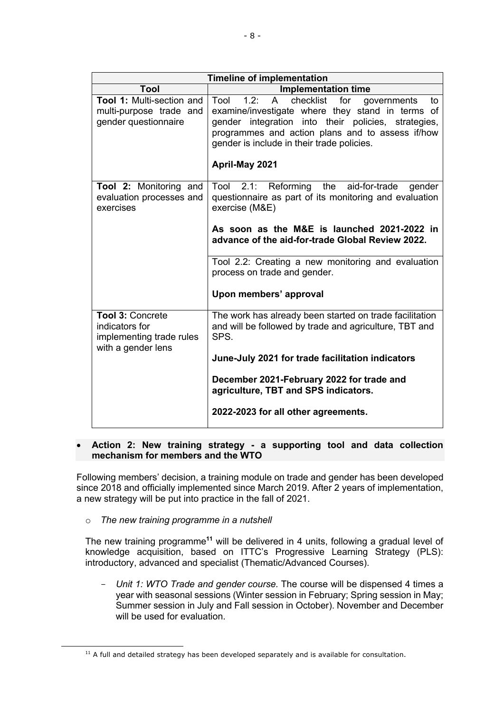| <b>Timeline of implementation</b>                                                           |                                                                                                                                                                                                                                                                                                      |  |
|---------------------------------------------------------------------------------------------|------------------------------------------------------------------------------------------------------------------------------------------------------------------------------------------------------------------------------------------------------------------------------------------------------|--|
| Tool                                                                                        | <b>Implementation time</b>                                                                                                                                                                                                                                                                           |  |
| <b>Tool 1: Multi-section and</b><br>multi-purpose trade and<br>gender questionnaire         | checklist<br>Tool<br>1.2:<br>$\mathsf{A}$<br>for<br>governments<br>to<br>examine/investigate where they stand in terms of<br>gender integration into their policies, strategies,<br>programmes and action plans and to assess if/how<br>gender is include in their trade policies.<br>April-May 2021 |  |
| Tool 2: Monitoring and<br>evaluation processes and<br>exercises                             | Tool 2.1: Reforming<br>the<br>aid-for-trade<br>gender<br>questionnaire as part of its monitoring and evaluation<br>exercise (M&E)<br>As soon as the M&E is launched 2021-2022 in<br>advance of the aid-for-trade Global Review 2022.<br>Tool 2.2: Creating a new monitoring and evaluation           |  |
|                                                                                             | process on trade and gender.<br>Upon members' approval                                                                                                                                                                                                                                               |  |
| <b>Tool 3: Concrete</b><br>indicators for<br>implementing trade rules<br>with a gender lens | The work has already been started on trade facilitation<br>and will be followed by trade and agriculture, TBT and<br>SPS.<br>June-July 2021 for trade facilitation indicators<br>December 2021-February 2022 for trade and                                                                           |  |
|                                                                                             | agriculture, TBT and SPS indicators.<br>2022-2023 for all other agreements.                                                                                                                                                                                                                          |  |

### • **Action 2: New training strategy - a supporting tool and data collection mechanism for members and the WTO**

Following members' decision, a training module on trade and gender has been developed since 2018 and officially implemented since March 2019. After 2 years of implementation, a new strategy will be put into practice in the fall of 2021.

### o *The new training programme in a nutshell*

The new training programme**<sup>11</sup>** will be delivered in 4 units, following a gradual level of knowledge acquisition, based on ITTC's Progressive Learning Strategy (PLS): introductory, advanced and specialist (Thematic/Advanced Courses).

- *Unit 1: WTO Trade and gender course.* The course will be dispensed 4 times a year with seasonal sessions (Winter session in February; Spring session in May; Summer session in July and Fall session in October). November and December will be used for evaluation.

 $11$  A full and detailed strategy has been developed separately and is available for consultation.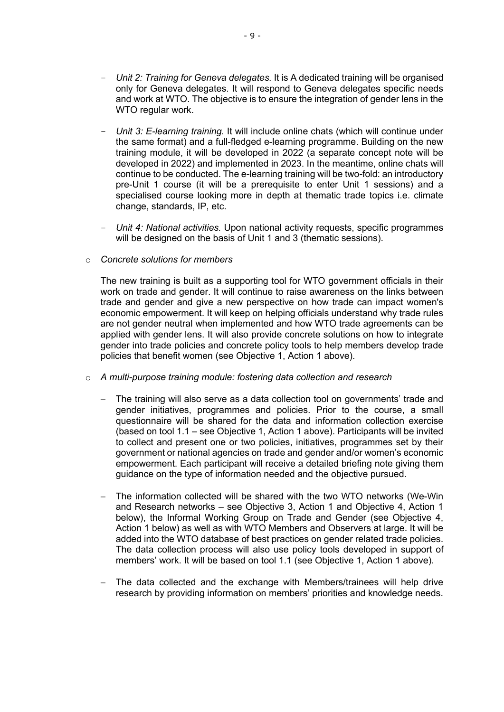- *Unit 2: Training for Geneva delegates.* It is A dedicated training will be organised only for Geneva delegates. It will respond to Geneva delegates specific needs and work at WTO. The objective is to ensure the integration of gender lens in the WTO regular work.
- *Unit 3: E-learning training.* It will include online chats (which will continue under the same format) and a full-fledged e-learning programme. Building on the new training module, it will be developed in 2022 (a separate concept note will be developed in 2022) and implemented in 2023. In the meantime, online chats will continue to be conducted. The e-learning training will be two-fold: an introductory pre-Unit 1 course (it will be a prerequisite to enter Unit 1 sessions) and a specialised course looking more in depth at thematic trade topics i.e. climate change, standards, IP, etc.
- *Unit 4: National activities.* Upon national activity requests, specific programmes will be designed on the basis of Unit 1 and 3 (thematic sessions).

### o *Concrete solutions for members*

The new training is built as a supporting tool for WTO government officials in their work on trade and gender. It will continue to raise awareness on the links between trade and gender and give a new perspective on how trade can impact women's economic empowerment. It will keep on helping officials understand why trade rules are not gender neutral when implemented and how WTO trade agreements can be applied with gender lens. It will also provide concrete solutions on how to integrate gender into trade policies and concrete policy tools to help members develop trade policies that benefit women (see Objective 1, Action 1 above).

- o *A multi-purpose training module: fostering data collection and research*
	- The training will also serve as a data collection tool on governments' trade and gender initiatives, programmes and policies. Prior to the course, a small questionnaire will be shared for the data and information collection exercise (based on tool 1.1 – see Objective 1, Action 1 above). Participants will be invited to collect and present one or two policies, initiatives, programmes set by their government or national agencies on trade and gender and/or women's economic empowerment. Each participant will receive a detailed briefing note giving them guidance on the type of information needed and the objective pursued.
	- The information collected will be shared with the two WTO networks (We-Win and Research networks – see Objective 3, Action 1 and Objective 4, Action 1 below), the Informal Working Group on Trade and Gender (see Objective 4, Action 1 below) as well as with WTO Members and Observers at large. It will be added into the WTO database of best practices on gender related trade policies. The data collection process will also use policy tools developed in support of members' work. It will be based on tool 1.1 (see Objective 1, Action 1 above).
	- The data collected and the exchange with Members/trainees will help drive research by providing information on members' priorities and knowledge needs.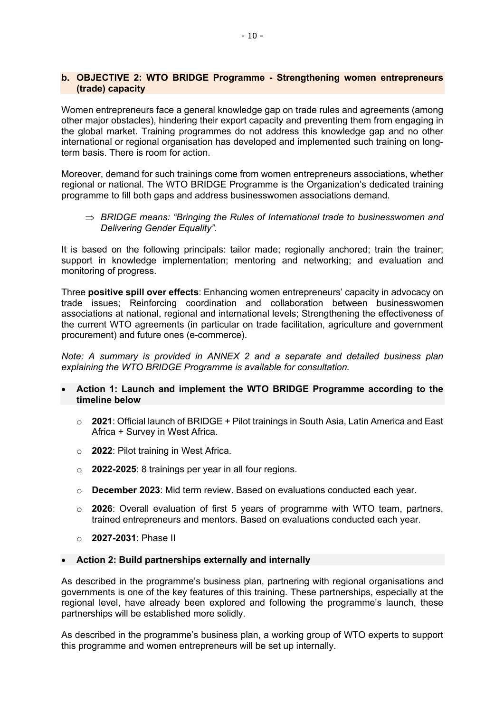## **b. OBJECTIVE 2: WTO BRIDGE Programme - Strengthening women entrepreneurs (trade) capacity**

Women entrepreneurs face a general knowledge gap on trade rules and agreements (among other major obstacles), hindering their export capacity and preventing them from engaging in the global market. Training programmes do not address this knowledge gap and no other international or regional organisation has developed and implemented such training on longterm basis. There is room for action.

Moreover, demand for such trainings come from women entrepreneurs associations, whether regional or national. The WTO BRIDGE Programme is the Organization's dedicated training programme to fill both gaps and address businesswomen associations demand.

 $\Rightarrow$  BRIDGE means: "Bringing the Rules of International trade to businesswomen and *Delivering Gender Equality".* 

It is based on the following principals: tailor made; regionally anchored; train the trainer; support in knowledge implementation; mentoring and networking; and evaluation and monitoring of progress.

Three **positive spill over effects**: Enhancing women entrepreneurs' capacity in advocacy on trade issues; Reinforcing coordination and collaboration between businesswomen associations at national, regional and international levels; Strengthening the effectiveness of the current WTO agreements (in particular on trade facilitation, agriculture and government procurement) and future ones (e-commerce).

*Note: A summary is provided in ANNEX 2 and a separate and detailed business plan explaining the WTO BRIDGE Programme is available for consultation.* 

- **Action 1: Launch and implement the WTO BRIDGE Programme according to the timeline below** 
	- o **2021**: Official launch of BRIDGE + Pilot trainings in South Asia, Latin America and East Africa + Survey in West Africa.
	- o **2022**: Pilot training in West Africa.
	- o **2022-2025**: 8 trainings per year in all four regions.
	- o **December 2023**: Mid term review. Based on evaluations conducted each year.
	- o **2026**: Overall evaluation of first 5 years of programme with WTO team, partners, trained entrepreneurs and mentors. Based on evaluations conducted each year.
	- o **2027-2031**: Phase II
- **Action 2: Build partnerships externally and internally**

As described in the programme's business plan, partnering with regional organisations and governments is one of the key features of this training. These partnerships, especially at the regional level, have already been explored and following the programme's launch, these partnerships will be established more solidly.

As described in the programme's business plan, a working group of WTO experts to support this programme and women entrepreneurs will be set up internally.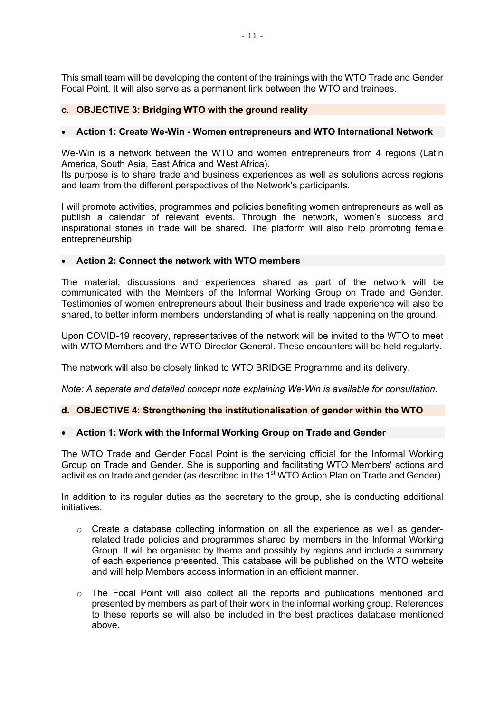This small team will be developing the content of the trainings with the WTO Trade and Gender Focal Point. It will also serve as a permanent link between the WTO and trainees.

# **c. OBJECTIVE 3: Bridging WTO with the ground reality**

# • **Action 1: Create We-Win - Women entrepreneurs and WTO International Network**

We-Win is a network between the WTO and women entrepreneurs from 4 regions (Latin America, South Asia, East Africa and West Africa).

Its purpose is to share trade and business experiences as well as solutions across regions and learn from the different perspectives of the Network's participants.

I will promote activities, programmes and policies benefiting women entrepreneurs as well as publish a calendar of relevant events. Through the network, women's success and inspirational stories in trade will be shared. The platform will also help promoting female entrepreneurship.

# • **Action 2: Connect the network with WTO members**

The material, discussions and experiences shared as part of the network will be communicated with the Members of the Informal Working Group on Trade and Gender. Testimonies of women entrepreneurs about their business and trade experience will also be shared, to better inform members' understanding of what is really happening on the ground.

Upon COVID-19 recovery, representatives of the network will be invited to the WTO to meet with WTO Members and the WTO Director-General. These encounters will be held regularly.

The network will also be closely linked to WTO BRIDGE Programme and its delivery.

*Note: A separate and detailed concept note explaining We-Win is available for consultation.* 

# **d. OBJECTIVE 4: Strengthening the institutionalisation of gender within the WTO**

# • **Action 1: Work with the Informal Working Group on Trade and Gender**

The WTO Trade and Gender Focal Point is the servicing official for the Informal Working Group on Trade and Gender. She is supporting and facilitating WTO Members' actions and activities on trade and gender (as described in the 1<sup>st</sup> WTO Action Plan on Trade and Gender).

In addition to its regular duties as the secretary to the group, she is conducting additional initiatives:

- $\circ$  Create a database collecting information on all the experience as well as genderrelated trade policies and programmes shared by members in the Informal Working Group. It will be organised by theme and possibly by regions and include a summary of each experience presented. This database will be published on the WTO website and will help Members access information in an efficient manner.
- $\circ$  The Focal Point will also collect all the reports and publications mentioned and presented by members as part of their work in the informal working group. References to these reports se will also be included in the best practices database mentioned above.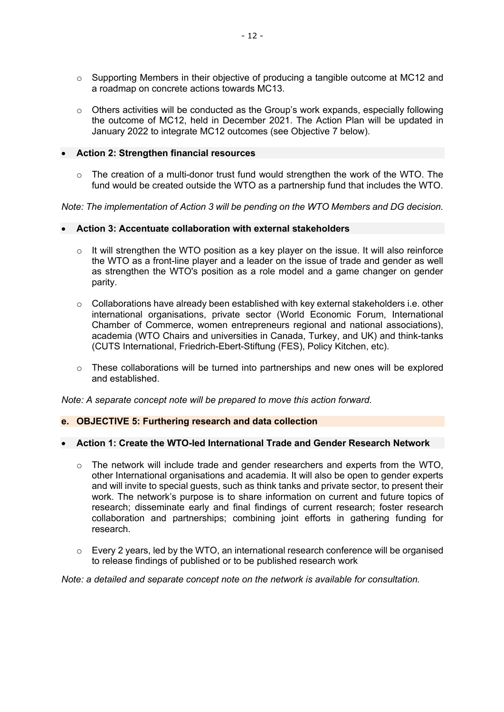- $\circ$  Supporting Members in their objective of producing a tangible outcome at MC12 and a roadmap on concrete actions towards MC13.
- $\circ$  Others activities will be conducted as the Group's work expands, especially following the outcome of MC12, held in December 2021. The Action Plan will be updated in January 2022 to integrate MC12 outcomes (see Objective 7 below).
- **Action 2: Strengthen financial resources**
	- $\circ$  The creation of a multi-donor trust fund would strengthen the work of the WTO. The fund would be created outside the WTO as a partnership fund that includes the WTO.

*Note: The implementation of Action 3 will be pending on the WTO Members and DG decision.*

# • **Action 3: Accentuate collaboration with external stakeholders**

- $\circ$  It will strengthen the WTO position as a key player on the issue. It will also reinforce the WTO as a front-line player and a leader on the issue of trade and gender as well as strengthen the WTO's position as a role model and a game changer on gender parity.
- $\circ$  Collaborations have already been established with key external stakeholders i.e. other international organisations, private sector (World Economic Forum, International Chamber of Commerce, women entrepreneurs regional and national associations), academia (WTO Chairs and universities in Canada, Turkey, and UK) and think-tanks (CUTS International, Friedrich-Ebert-Stiftung (FES), Policy Kitchen, etc).
- $\circ$  These collaborations will be turned into partnerships and new ones will be explored and established.

*Note: A separate concept note will be prepared to move this action forward.*

### **e. OBJECTIVE 5: Furthering research and data collection**

## • **Action 1: Create the WTO-led International Trade and Gender Research Network**

- $\circ$  The network will include trade and gender researchers and experts from the WTO, other International organisations and academia. It will also be open to gender experts and will invite to special guests, such as think tanks and private sector, to present their work. The network's purpose is to share information on current and future topics of research; disseminate early and final findings of current research; foster research collaboration and partnerships; combining joint efforts in gathering funding for research.
- $\circ$  Every 2 years, led by the WTO, an international research conference will be organised to release findings of published or to be published research work

*Note: a detailed and separate concept note on the network is available for consultation.*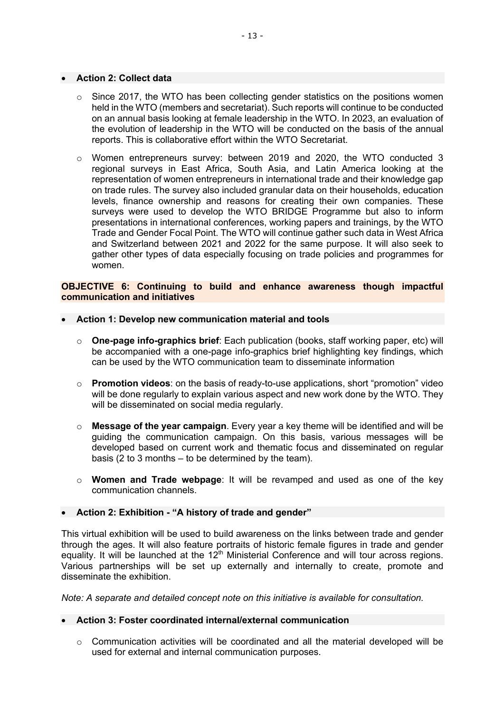#### • **Action 2: Collect data**

- o Since 2017, the WTO has been collecting gender statistics on the positions women held in the WTO (members and secretariat). Such reports will continue to be conducted on an annual basis looking at female leadership in the WTO. In 2023, an evaluation of the evolution of leadership in the WTO will be conducted on the basis of the annual reports. This is collaborative effort within the WTO Secretariat.
- o Women entrepreneurs survey: between 2019 and 2020, the WTO conducted 3 regional surveys in East Africa, South Asia, and Latin America looking at the representation of women entrepreneurs in international trade and their knowledge gap on trade rules. The survey also included granular data on their households, education levels, finance ownership and reasons for creating their own companies. These surveys were used to develop the WTO BRIDGE Programme but also to inform presentations in international conferences, working papers and trainings, by the WTO Trade and Gender Focal Point. The WTO will continue gather such data in West Africa and Switzerland between 2021 and 2022 for the same purpose. It will also seek to gather other types of data especially focusing on trade policies and programmes for women.

### **OBJECTIVE 6: Continuing to build and enhance awareness though impactful communication and initiatives**

#### • **Action 1: Develop new communication material and tools**

- o **One-page info-graphics brief**: Each publication (books, staff working paper, etc) will be accompanied with a one-page info-graphics brief highlighting key findings, which can be used by the WTO communication team to disseminate information
- o **Promotion videos**: on the basis of ready-to-use applications, short "promotion" video will be done regularly to explain various aspect and new work done by the WTO. They will be disseminated on social media regularly.
- o **Message of the year campaign**. Every year a key theme will be identified and will be guiding the communication campaign. On this basis, various messages will be developed based on current work and thematic focus and disseminated on regular basis (2 to 3 months – to be determined by the team).
- o **Women and Trade webpage**: It will be revamped and used as one of the key communication channels.

#### • **Action 2: Exhibition - "A history of trade and gender"**

This virtual exhibition will be used to build awareness on the links between trade and gender through the ages. It will also feature portraits of historic female figures in trade and gender equality. It will be launched at the 12<sup>th</sup> Ministerial Conference and will tour across regions. Various partnerships will be set up externally and internally to create, promote and disseminate the exhibition.

*Note: A separate and detailed concept note on this initiative is available for consultation.*

### • **Action 3: Foster coordinated internal/external communication**

 $\circ$  Communication activities will be coordinated and all the material developed will be used for external and internal communication purposes.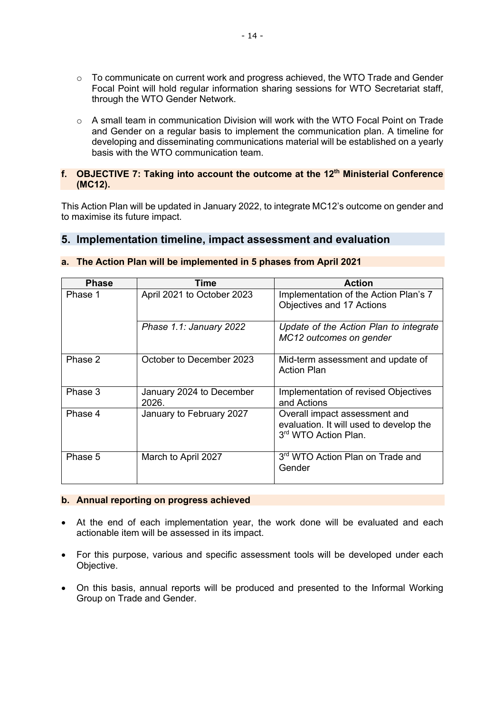- $\circ$  To communicate on current work and progress achieved, the WTO Trade and Gender Focal Point will hold regular information sharing sessions for WTO Secretariat staff, through the WTO Gender Network.
- $\circ$  A small team in communication Division will work with the WTO Focal Point on Trade and Gender on a regular basis to implement the communication plan. A timeline for developing and disseminating communications material will be established on a yearly basis with the WTO communication team.

# **f. OBJECTIVE 7: Taking into account the outcome at the 12th Ministerial Conference (MC12).**

This Action Plan will be updated in January 2022, to integrate MC12's outcome on gender and to maximise its future impact.

# **5. Implementation timeline, impact assessment and evaluation**

| <b>Phase</b> | Time                              | <b>Action</b>                                                                                    |
|--------------|-----------------------------------|--------------------------------------------------------------------------------------------------|
| Phase 1      | April 2021 to October 2023        | Implementation of the Action Plan's 7<br>Objectives and 17 Actions                               |
|              | Phase 1.1: January 2022           | Update of the Action Plan to integrate<br>MC12 outcomes on gender                                |
| Phase 2      | October to December 2023          | Mid-term assessment and update of<br><b>Action Plan</b>                                          |
| Phase 3      | January 2024 to December<br>2026. | Implementation of revised Objectives<br>and Actions                                              |
| Phase 4      | January to February 2027          | Overall impact assessment and<br>evaluation. It will used to develop the<br>3rd WTO Action Plan. |
| Phase 5      | March to April 2027               | 3 <sup>rd</sup> WTO Action Plan on Trade and<br>Gender                                           |

# **a. The Action Plan will be implemented in 5 phases from April 2021**

### **b. Annual reporting on progress achieved**

- At the end of each implementation year, the work done will be evaluated and each actionable item will be assessed in its impact.
- For this purpose, various and specific assessment tools will be developed under each Objective.
- On this basis, annual reports will be produced and presented to the Informal Working Group on Trade and Gender.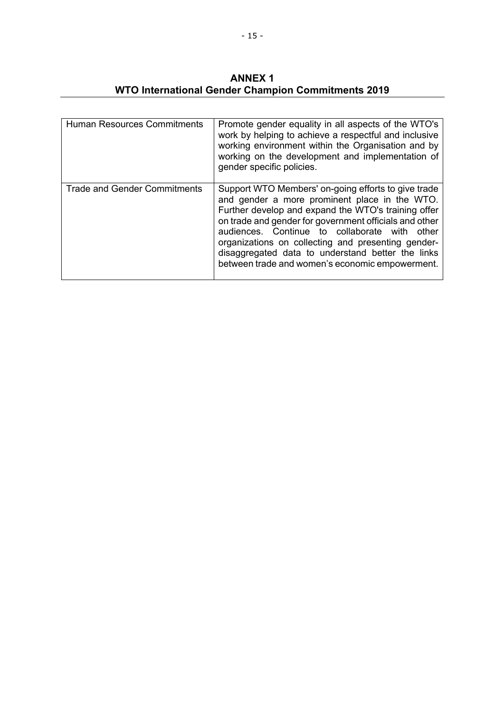**ANNEX 1 WTO International Gender Champion Commitments 2019**

| <b>Human Resources Commitments</b>  | Promote gender equality in all aspects of the WTO's<br>work by helping to achieve a respectful and inclusive<br>working environment within the Organisation and by<br>working on the development and implementation of<br>gender specific policies.                                                                                                                                                                                     |
|-------------------------------------|-----------------------------------------------------------------------------------------------------------------------------------------------------------------------------------------------------------------------------------------------------------------------------------------------------------------------------------------------------------------------------------------------------------------------------------------|
| <b>Trade and Gender Commitments</b> | Support WTO Members' on-going efforts to give trade<br>and gender a more prominent place in the WTO.<br>Further develop and expand the WTO's training offer<br>on trade and gender for government officials and other<br>audiences. Continue to collaborate with<br>other<br>organizations on collecting and presenting gender-<br>disaggregated data to understand better the links<br>between trade and women's economic empowerment. |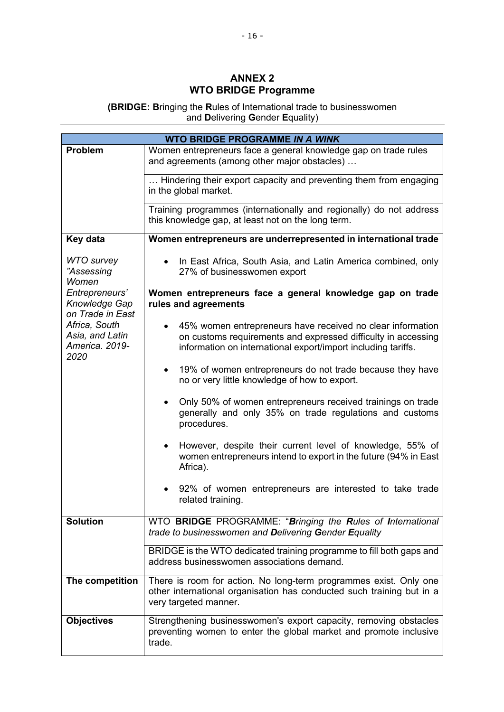# **ANNEX 2 WTO BRIDGE Programme**

**(BRIDGE: B**ringing the **R**ules of **I**nternational trade to businesswomen and **D**elivering **G**ender **E**quality)

| <b>WTO BRIDGE PROGRAMME IN A WINK</b>                      |                                                                                                                                                                                                           |
|------------------------------------------------------------|-----------------------------------------------------------------------------------------------------------------------------------------------------------------------------------------------------------|
| <b>Problem</b>                                             | Women entrepreneurs face a general knowledge gap on trade rules                                                                                                                                           |
|                                                            | and agreements (among other major obstacles)                                                                                                                                                              |
|                                                            | Hindering their export capacity and preventing them from engaging<br>in the global market.                                                                                                                |
|                                                            | Training programmes (internationally and regionally) do not address                                                                                                                                       |
|                                                            | this knowledge gap, at least not on the long term.                                                                                                                                                        |
| Key data                                                   | Women entrepreneurs are underrepresented in international trade                                                                                                                                           |
| <b>WTO</b> survey<br>"Assessing<br>Women                   | In East Africa, South Asia, and Latin America combined, only<br>$\bullet$<br>27% of businesswomen export                                                                                                  |
| Entrepreneurs'<br>Knowledge Gap<br>on Trade in East        | Women entrepreneurs face a general knowledge gap on trade<br>rules and agreements                                                                                                                         |
| Africa, South<br>Asia, and Latin<br>America. 2019-<br>2020 | 45% women entrepreneurs have received no clear information<br>$\bullet$<br>on customs requirements and expressed difficulty in accessing<br>information on international export/import including tariffs. |
|                                                            | 19% of women entrepreneurs do not trade because they have<br>$\bullet$<br>no or very little knowledge of how to export.                                                                                   |
|                                                            | Only 50% of women entrepreneurs received trainings on trade<br>$\bullet$<br>generally and only 35% on trade regulations and customs<br>procedures.                                                        |
|                                                            | However, despite their current level of knowledge, 55% of<br>$\bullet$<br>women entrepreneurs intend to export in the future (94% in East<br>Africa).                                                     |
|                                                            | 92% of women entrepreneurs are interested to take trade<br>related training.                                                                                                                              |
| <b>Solution</b>                                            | WTO BRIDGE PROGRAMME: "Bringing the Rules of International<br>trade to businesswomen and Delivering Gender Equality                                                                                       |
|                                                            | BRIDGE is the WTO dedicated training programme to fill both gaps and<br>address businesswomen associations demand.                                                                                        |
| The competition                                            | There is room for action. No long-term programmes exist. Only one<br>other international organisation has conducted such training but in a<br>very targeted manner.                                       |
| <b>Objectives</b>                                          | Strengthening businesswomen's export capacity, removing obstacles<br>preventing women to enter the global market and promote inclusive<br>trade.                                                          |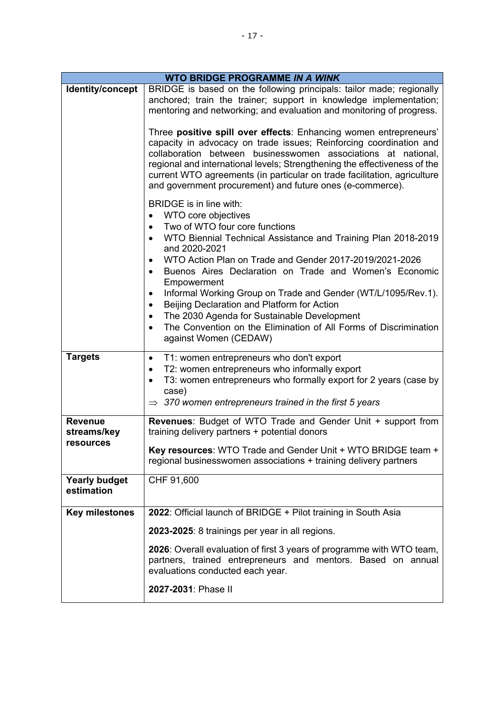| <b>WTO BRIDGE PROGRAMME IN A WINK</b> |                                                                                                                                                                                                                                                                                                                                                                                                                                                                                                                                                                                                                                                    |
|---------------------------------------|----------------------------------------------------------------------------------------------------------------------------------------------------------------------------------------------------------------------------------------------------------------------------------------------------------------------------------------------------------------------------------------------------------------------------------------------------------------------------------------------------------------------------------------------------------------------------------------------------------------------------------------------------|
| Identity/concept                      | BRIDGE is based on the following principals: tailor made; regionally<br>anchored; train the trainer; support in knowledge implementation;<br>mentoring and networking; and evaluation and monitoring of progress.                                                                                                                                                                                                                                                                                                                                                                                                                                  |
|                                       | Three positive spill over effects: Enhancing women entrepreneurs'<br>capacity in advocacy on trade issues; Reinforcing coordination and<br>collaboration between businesswomen associations at national,<br>regional and international levels; Strengthening the effectiveness of the<br>current WTO agreements (in particular on trade facilitation, agriculture<br>and government procurement) and future ones (e-commerce).                                                                                                                                                                                                                     |
|                                       | BRIDGE is in line with:<br>WTO core objectives<br>$\bullet$<br>Two of WTO four core functions<br>$\bullet$<br>WTO Biennial Technical Assistance and Training Plan 2018-2019<br>$\bullet$<br>and 2020-2021<br>WTO Action Plan on Trade and Gender 2017-2019/2021-2026<br>Buenos Aires Declaration on Trade and Women's Economic<br>٠<br>Empowerment<br>Informal Working Group on Trade and Gender (WT/L/1095/Rev.1).<br>٠<br>Beijing Declaration and Platform for Action<br>$\bullet$<br>The 2030 Agenda for Sustainable Development<br>٠<br>The Convention on the Elimination of All Forms of Discrimination<br>$\bullet$<br>against Women (CEDAW) |
| <b>Targets</b>                        | T1: women entrepreneurs who don't export<br>$\bullet$<br>T2: women entrepreneurs who informally export<br>٠<br>T3: women entrepreneurs who formally export for 2 years (case by<br>$\bullet$<br>case)<br>$\Rightarrow$ 370 women entrepreneurs trained in the first 5 years                                                                                                                                                                                                                                                                                                                                                                        |
| <b>Revenue</b><br>streams/key         | <b>Revenues:</b> Budget of WTO Trade and Gender Unit + support from<br>training delivery partners + potential donors                                                                                                                                                                                                                                                                                                                                                                                                                                                                                                                               |
| <b>resources</b>                      | Key resources: WTO Trade and Gender Unit + WTO BRIDGE team +<br>regional businesswomen associations + training delivery partners                                                                                                                                                                                                                                                                                                                                                                                                                                                                                                                   |
| <b>Yearly budget</b><br>estimation    | CHF 91,600                                                                                                                                                                                                                                                                                                                                                                                                                                                                                                                                                                                                                                         |
| <b>Key milestones</b>                 | 2022: Official launch of BRIDGE + Pilot training in South Asia                                                                                                                                                                                                                                                                                                                                                                                                                                                                                                                                                                                     |
|                                       | 2023-2025: 8 trainings per year in all regions.                                                                                                                                                                                                                                                                                                                                                                                                                                                                                                                                                                                                    |
|                                       | 2026: Overall evaluation of first 3 years of programme with WTO team,<br>partners, trained entrepreneurs and mentors. Based on annual<br>evaluations conducted each year.                                                                                                                                                                                                                                                                                                                                                                                                                                                                          |
|                                       | 2027-2031: Phase II                                                                                                                                                                                                                                                                                                                                                                                                                                                                                                                                                                                                                                |